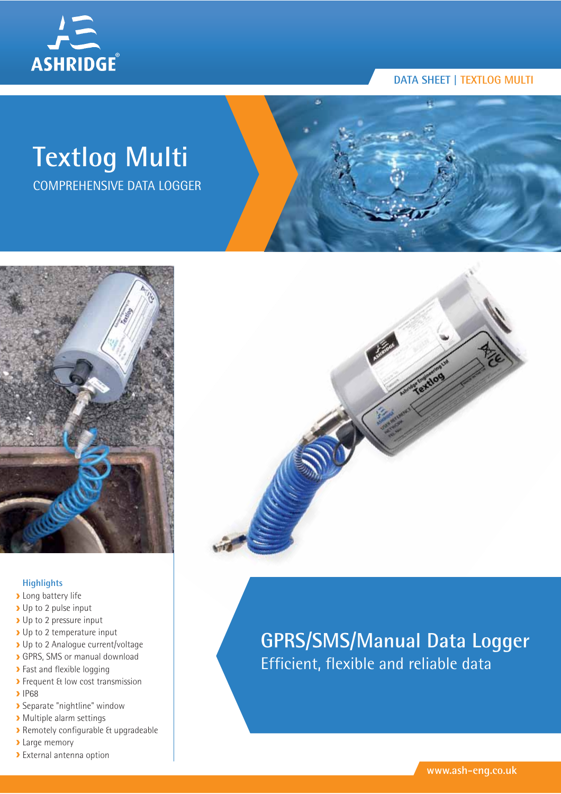

## **Textlog Multi**

COMPREHENSIVE DATA LOGGER



### **Highlights**

- **Long battery life**
- Up to 2 pulse input
- ▶ Up to 2 pressure input
- ▶ Up to 2 temperature input
- Up to 2 Analogue current/voltage
- GPRS, SMS or manual download
- **>** Fast and flexible logging
- **>** Frequent & low cost transmission
- $\blacktriangleright$  IP68
- Separate "nightline" window
- Multiple alarm settings
- Remotely configurable & upgradeable
- **Large memory**
- External antenna option



### **GPRS/SMS/Manual Data Logger** Efficient, flexible and reliable data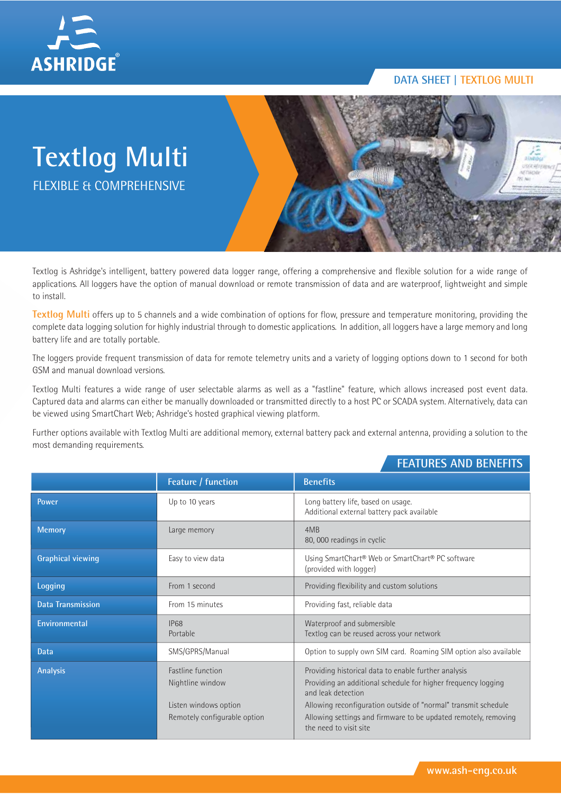

# **Textlog Multi** FLEXIBLE & COMPREHENSIVE

Textlog is Ashridge's intelligent, battery powered data logger range, offering a comprehensive and flexible solution for a wide range of applications. All loggers have the option of manual download or remote transmission of data and are waterproof, lightweight and simple to install.

**Textlog Multi** offers up to 5 channels and a wide combination of options for flow, pressure and temperature monitoring, providing the complete data logging solution for highly industrial through to domestic applications. In addition, all loggers have a large memory and long battery life and are totally portable.

The loggers provide frequent transmission of data for remote telemetry units and a variety of logging options down to 1 second for both GSM and manual download versions.

Textlog Multi features a wide range of user selectable alarms as well as a "fastline" feature, which allows increased post event data. Captured data and alarms can either be manually downloaded or transmitted directly to a host PC or SCADA system. Alternatively, data can be viewed using SmartChart Web; Ashridge's hosted graphical viewing platform.

Further options available with Textlog Multi are additional memory, external battery pack and external antenna, providing a solution to the most demanding requirements.

### **FEATURES AND BENEFITS**

|                          | Feature / function                                                                                    | <b>Benefits</b>                                                                                                                                                                                                                                                                                            |
|--------------------------|-------------------------------------------------------------------------------------------------------|------------------------------------------------------------------------------------------------------------------------------------------------------------------------------------------------------------------------------------------------------------------------------------------------------------|
| Power                    | Up to 10 years                                                                                        | Long battery life, based on usage.<br>Additional external battery pack available                                                                                                                                                                                                                           |
| <b>Memory</b>            | Large memory                                                                                          | 4MB<br>80, 000 readings in cyclic                                                                                                                                                                                                                                                                          |
| <b>Graphical viewing</b> | Easy to view data                                                                                     | Using SmartChart® Web or SmartChart® PC software<br>(provided with logger)                                                                                                                                                                                                                                 |
| Logging                  | From 1 second                                                                                         | Providing flexibility and custom solutions                                                                                                                                                                                                                                                                 |
| <b>Data Transmission</b> | From 15 minutes                                                                                       | Providing fast, reliable data                                                                                                                                                                                                                                                                              |
| Environmental            | IP68<br>Portable                                                                                      | Waterproof and submersible<br>Textlog can be reused across your network                                                                                                                                                                                                                                    |
| Data                     | SMS/GPRS/Manual                                                                                       | Option to supply own SIM card. Roaming SIM option also available                                                                                                                                                                                                                                           |
| <b>Analysis</b>          | <b>Fastline function</b><br>Nightline window<br>Listen windows option<br>Remotely configurable option | Providing historical data to enable further analysis<br>Providing an additional schedule for higher frequency logging<br>and leak detection<br>Allowing reconfiguration outside of "normal" transmit schedule<br>Allowing settings and firmware to be updated remotely, removing<br>the need to visit site |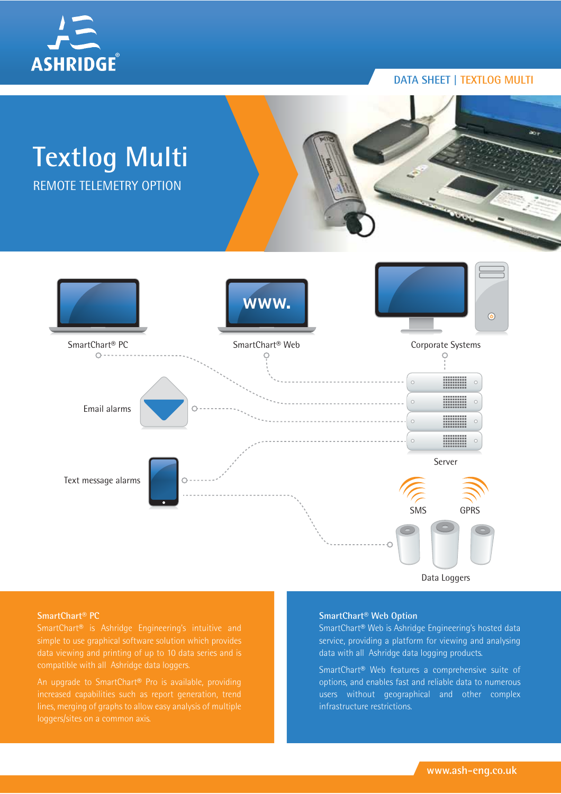



**SmartChart® PC**

An upgrade to SmartChart® Pro is available, providing

#### **SmartChart® Web Option**

SmartChart® Web is Ashridge Engineering's hosted data service, providing a platform for viewing and analysing data with all Ashridge data logging products.

SmartChart® Web features a comprehensive suite of options, and enables fast and reliable data to numerous users without geographical and other complex infrastructure restrictions.